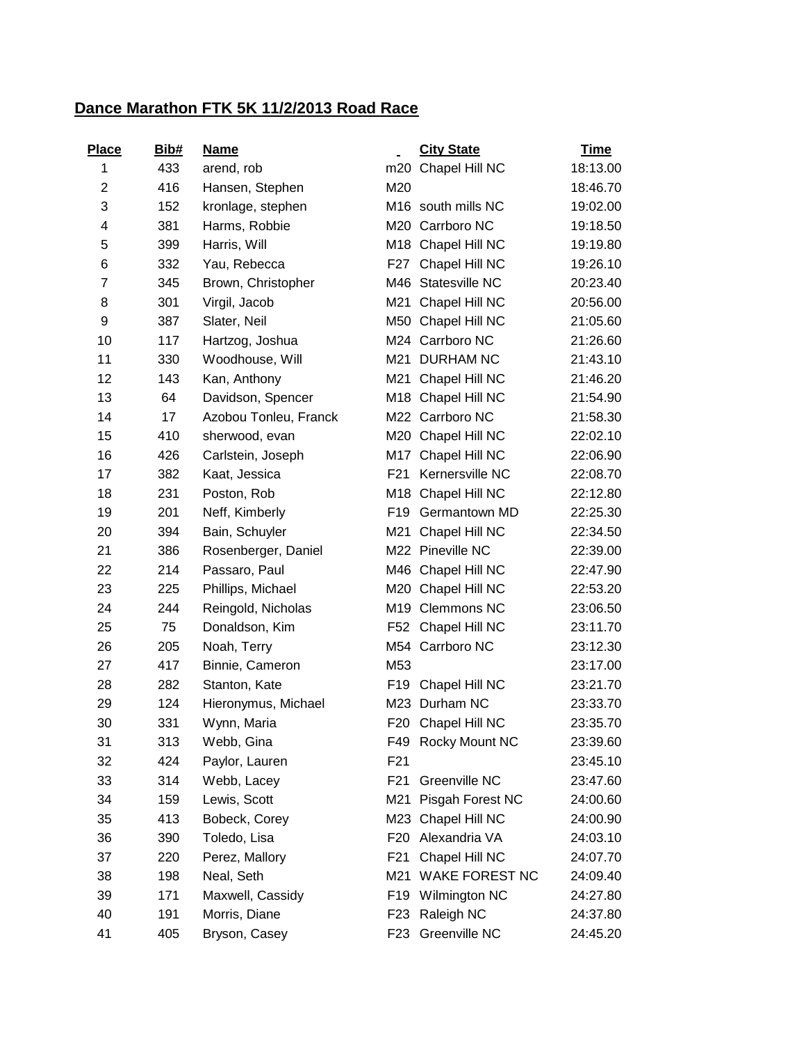## **Dance Marathon FTK 5K 11/2/2013 Road Race**

| Place          | Bib# | <b>Name</b>           |                 | <b>City State</b>     | <b>Time</b> |
|----------------|------|-----------------------|-----------------|-----------------------|-------------|
| 1              | 433  | arend, rob            | m20             | Chapel Hill NC        | 18:13.00    |
| $\overline{2}$ | 416  | Hansen, Stephen       | M20             |                       | 18:46.70    |
| 3              | 152  | kronlage, stephen     | M16             | south mills NC        | 19:02.00    |
| 4              | 381  | Harms, Robbie         |                 | M20 Carrboro NC       | 19:18.50    |
| 5              | 399  | Harris, Will          |                 | M18 Chapel Hill NC    | 19:19.80    |
| 6              | 332  | Yau, Rebecca          |                 | F27 Chapel Hill NC    | 19:26.10    |
| 7              | 345  | Brown, Christopher    |                 | M46 Statesville NC    | 20:23.40    |
| 8              | 301  | Virgil, Jacob         | M21             | Chapel Hill NC        | 20:56.00    |
| 9              | 387  | Slater, Neil          |                 | M50 Chapel Hill NC    | 21:05.60    |
| 10             | 117  | Hartzog, Joshua       |                 | M24 Carrboro NC       | 21:26.60    |
| 11             | 330  | Woodhouse, Will       |                 | M21 DURHAM NC         | 21:43.10    |
| 12             | 143  | Kan, Anthony          | M21             | Chapel Hill NC        | 21:46.20    |
| 13             | 64   | Davidson, Spencer     |                 | M18 Chapel Hill NC    | 21:54.90    |
| 14             | 17   | Azobou Tonleu, Franck |                 | M22 Carrboro NC       | 21:58.30    |
| 15             | 410  | sherwood, evan        |                 | M20 Chapel Hill NC    | 22:02.10    |
| 16             | 426  | Carlstein, Joseph     |                 | M17 Chapel Hill NC    | 22:06.90    |
| 17             | 382  | Kaat, Jessica         | F <sub>21</sub> | Kernersville NC       | 22:08.70    |
| 18             | 231  | Poston, Rob           |                 | M18 Chapel Hill NC    | 22:12.80    |
| 19             | 201  | Neff, Kimberly        | F <sub>19</sub> | Germantown MD         | 22:25.30    |
| 20             | 394  | Bain, Schuyler        | M21             | Chapel Hill NC        | 22:34.50    |
| 21             | 386  | Rosenberger, Daniel   |                 | M22 Pineville NC      | 22:39.00    |
| 22             | 214  | Passaro, Paul         | M46             | Chapel Hill NC        | 22:47.90    |
| 23             | 225  | Phillips, Michael     |                 | M20 Chapel Hill NC    | 22:53.20    |
| 24             | 244  | Reingold, Nicholas    | M19             | <b>Clemmons NC</b>    | 23:06.50    |
| 25             | 75   | Donaldson, Kim        |                 | F52 Chapel Hill NC    | 23:11.70    |
| 26             | 205  | Noah, Terry           |                 | M54 Carrboro NC       | 23:12.30    |
| 27             | 417  | Binnie, Cameron       | M53             |                       | 23:17.00    |
| 28             | 282  | Stanton, Kate         | F <sub>19</sub> | Chapel Hill NC        | 23:21.70    |
| 29             | 124  | Hieronymus, Michael   |                 | M23 Durham NC         | 23:33.70    |
| 30             | 331  | Wynn, Maria           | F20             | Chapel Hill NC        | 23:35.70    |
| 31             | 313  | Webb, Gina            | F49             | <b>Rocky Mount NC</b> | 23:39.60    |
| 32             | 424  | Paylor, Lauren        | F21             |                       | 23:45.10    |
| 33             | 314  | Webb, Lacey           | F <sub>21</sub> | Greenville NC         | 23:47.60    |
| 34             | 159  | Lewis, Scott          | M21             | Pisgah Forest NC      | 24:00.60    |
| 35             | 413  | Bobeck, Corey         | M23             | Chapel Hill NC        | 24:00.90    |
| 36             | 390  | Toledo, Lisa          | F <sub>20</sub> | Alexandria VA         | 24:03.10    |
| 37             | 220  | Perez, Mallory        | F21             | Chapel Hill NC        | 24:07.70    |
| 38             | 198  | Neal, Seth            | M21             | WAKE FOREST NC        | 24:09.40    |
| 39             | 171  | Maxwell, Cassidy      | F <sub>19</sub> | Wilmington NC         | 24:27.80    |
| 40             | 191  | Morris, Diane         | F <sub>23</sub> | Raleigh NC            | 24:37.80    |
| 41             | 405  | Bryson, Casey         | F23             | Greenville NC         | 24:45.20    |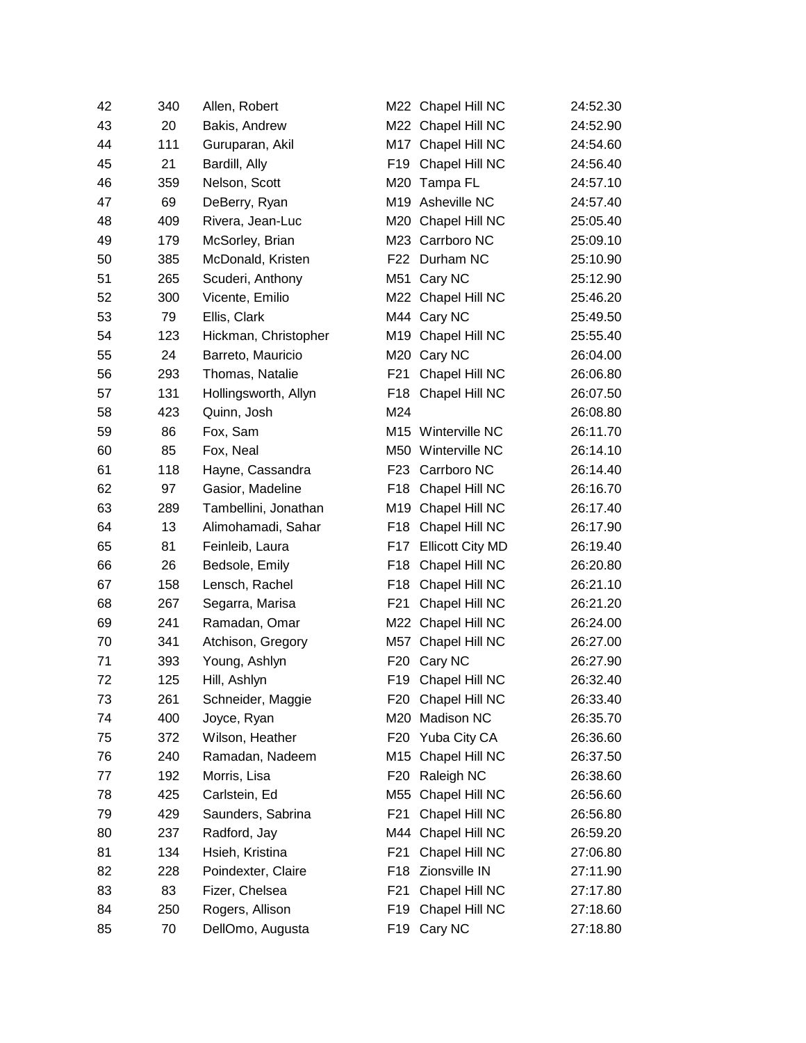| 42 | 340 | Allen, Robert        |                 | M22 Chapel Hill NC      | 24:52.30 |
|----|-----|----------------------|-----------------|-------------------------|----------|
| 43 | 20  | Bakis, Andrew        |                 | M22 Chapel Hill NC      | 24:52.90 |
| 44 | 111 | Guruparan, Akil      |                 | M17 Chapel Hill NC      | 24:54.60 |
| 45 | 21  | Bardill, Ally        | F19             | Chapel Hill NC          | 24:56.40 |
| 46 | 359 | Nelson, Scott        |                 | M20 Tampa FL            | 24:57.10 |
| 47 | 69  | DeBerry, Ryan        |                 | M19 Asheville NC        | 24:57.40 |
| 48 | 409 | Rivera, Jean-Luc     |                 | M20 Chapel Hill NC      | 25:05.40 |
| 49 | 179 | McSorley, Brian      |                 | M23 Carrboro NC         | 25:09.10 |
| 50 | 385 | McDonald, Kristen    |                 | F22 Durham NC           | 25:10.90 |
| 51 | 265 | Scuderi, Anthony     |                 | M51 Cary NC             | 25:12.90 |
| 52 | 300 | Vicente, Emilio      |                 | M22 Chapel Hill NC      | 25:46.20 |
| 53 | 79  | Ellis, Clark         |                 | M44 Cary NC             | 25:49.50 |
| 54 | 123 | Hickman, Christopher |                 | M19 Chapel Hill NC      | 25:55.40 |
| 55 | 24  | Barreto, Mauricio    |                 | M20 Cary NC             | 26:04.00 |
| 56 | 293 | Thomas, Natalie      | F21             | Chapel Hill NC          | 26:06.80 |
| 57 | 131 | Hollingsworth, Allyn | F <sub>18</sub> | Chapel Hill NC          | 26:07.50 |
| 58 | 423 | Quinn, Josh          | M24             |                         | 26:08.80 |
| 59 | 86  | Fox, Sam             |                 | M15 Winterville NC      | 26:11.70 |
| 60 | 85  | Fox, Neal            |                 | M50 Winterville NC      | 26:14.10 |
| 61 | 118 | Hayne, Cassandra     |                 | F23 Carrboro NC         | 26:14.40 |
| 62 | 97  | Gasior, Madeline     | F18             | Chapel Hill NC          | 26:16.70 |
| 63 | 289 | Tambellini, Jonathan |                 | M19 Chapel Hill NC      | 26:17.40 |
| 64 | 13  | Alimohamadi, Sahar   | F18             | Chapel Hill NC          | 26:17.90 |
| 65 | 81  | Feinleib, Laura      | F17             | <b>Ellicott City MD</b> | 26:19.40 |
| 66 | 26  | Bedsole, Emily       | F <sub>18</sub> | Chapel Hill NC          | 26:20.80 |
| 67 | 158 | Lensch, Rachel       | F <sub>18</sub> | Chapel Hill NC          | 26:21.10 |
| 68 | 267 | Segarra, Marisa      | F <sub>21</sub> | Chapel Hill NC          | 26:21.20 |
| 69 | 241 | Ramadan, Omar        |                 | M22 Chapel Hill NC      | 26:24.00 |
| 70 | 341 | Atchison, Gregory    |                 | M57 Chapel Hill NC      | 26:27.00 |
| 71 | 393 | Young, Ashlyn        | F <sub>20</sub> | Cary NC                 | 26:27.90 |
| 72 | 125 | Hill, Ashlyn         | F19             | Chapel Hill NC          | 26:32.40 |
| 73 | 261 | Schneider, Maggie    | F20             | Chapel Hill NC          | 26:33.40 |
| 74 | 400 | Joyce, Ryan          | M20             | Madison NC              | 26:35.70 |
| 75 | 372 | Wilson, Heather      | F20             | Yuba City CA            | 26:36.60 |
| 76 | 240 | Ramadan, Nadeem      |                 | M15 Chapel Hill NC      | 26:37.50 |
| 77 | 192 | Morris, Lisa         | F <sub>20</sub> | Raleigh NC              | 26:38.60 |
| 78 | 425 | Carlstein, Ed        | M55             | Chapel Hill NC          | 26:56.60 |
| 79 | 429 | Saunders, Sabrina    | F <sub>21</sub> | Chapel Hill NC          | 26:56.80 |
| 80 | 237 | Radford, Jay         |                 | M44 Chapel Hill NC      | 26:59.20 |
| 81 | 134 | Hsieh, Kristina      | F <sub>21</sub> | Chapel Hill NC          | 27:06.80 |
| 82 | 228 | Poindexter, Claire   | F <sub>18</sub> | Zionsville IN           | 27:11.90 |
| 83 | 83  | Fizer, Chelsea       | F <sub>21</sub> | Chapel Hill NC          | 27:17.80 |
| 84 | 250 | Rogers, Allison      | F <sub>19</sub> | Chapel Hill NC          | 27:18.60 |
| 85 | 70  | DellOmo, Augusta     | F19             | Cary NC                 | 27:18.80 |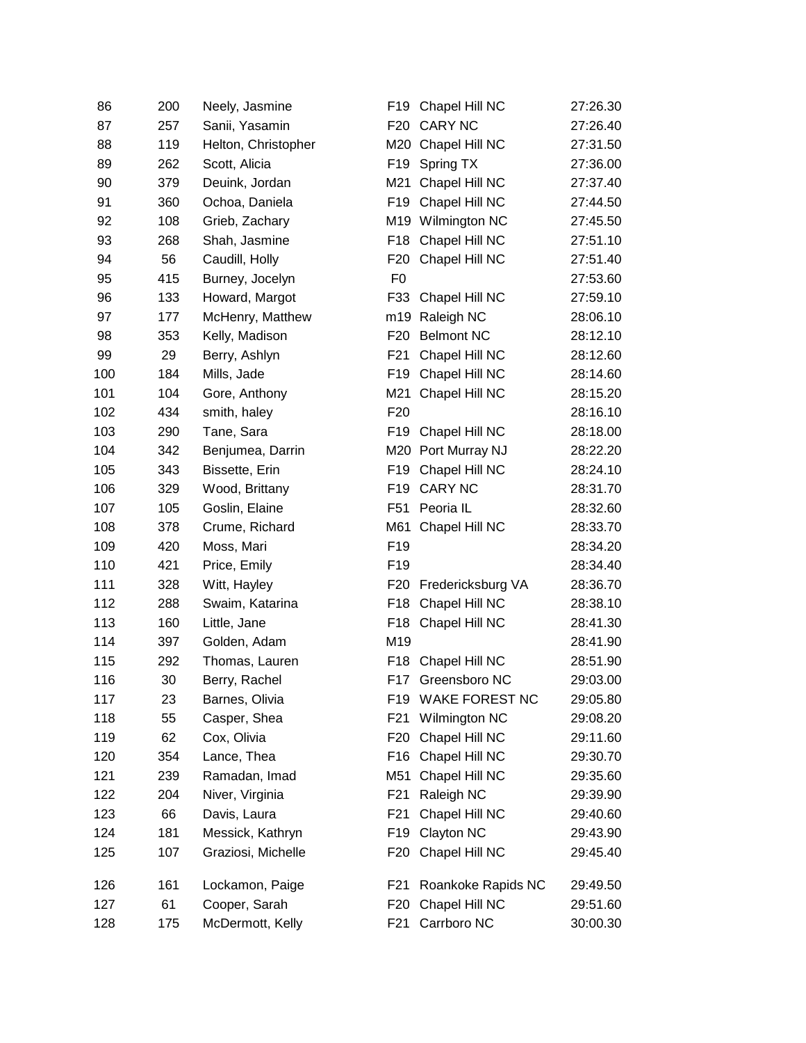| 86  | 200 | Neely, Jasmine      | F19              | Chapel Hill NC        | 27:26.30 |
|-----|-----|---------------------|------------------|-----------------------|----------|
| 87  | 257 | Sanii, Yasamin      | F <sub>20</sub>  | <b>CARY NC</b>        | 27:26.40 |
| 88  | 119 | Helton, Christopher |                  | M20 Chapel Hill NC    | 27:31.50 |
| 89  | 262 | Scott, Alicia       | F19              | Spring TX             | 27:36.00 |
| 90  | 379 | Deuink, Jordan      | M21              | Chapel Hill NC        | 27:37.40 |
| 91  | 360 | Ochoa, Daniela      | F <sub>19</sub>  | Chapel Hill NC        | 27:44.50 |
| 92  | 108 | Grieb, Zachary      | M19              | Wilmington NC         | 27:45.50 |
| 93  | 268 | Shah, Jasmine       | F <sub>18</sub>  | Chapel Hill NC        | 27:51.10 |
| 94  | 56  | Caudill, Holly      | F <sub>20</sub>  | Chapel Hill NC        | 27:51.40 |
| 95  | 415 | Burney, Jocelyn     | F <sub>0</sub>   |                       | 27:53.60 |
| 96  | 133 | Howard, Margot      | F33              | Chapel Hill NC        | 27:59.10 |
| 97  | 177 | McHenry, Matthew    | m19              | Raleigh NC            | 28:06.10 |
| 98  | 353 | Kelly, Madison      | F <sub>20</sub>  | <b>Belmont NC</b>     | 28:12.10 |
| 99  | 29  | Berry, Ashlyn       | F <sub>21</sub>  | Chapel Hill NC        | 28:12.60 |
| 100 | 184 | Mills, Jade         | F <sub>19</sub>  | Chapel Hill NC        | 28:14.60 |
| 101 | 104 | Gore, Anthony       | M21              | Chapel Hill NC        | 28:15.20 |
| 102 | 434 | smith, haley        | F <sub>20</sub>  |                       | 28:16.10 |
| 103 | 290 | Tane, Sara          | F <sub>19</sub>  | Chapel Hill NC        | 28:18.00 |
| 104 | 342 | Benjumea, Darrin    | M20              | Port Murray NJ        | 28:22.20 |
| 105 | 343 | Bissette, Erin      | F <sub>19</sub>  | Chapel Hill NC        | 28:24.10 |
| 106 | 329 | Wood, Brittany      | F <sub>19</sub>  | <b>CARY NC</b>        | 28:31.70 |
| 107 | 105 | Goslin, Elaine      | F <sub>51</sub>  | Peoria IL             | 28:32.60 |
| 108 | 378 | Crume, Richard      | M61              | Chapel Hill NC        | 28:33.70 |
| 109 | 420 | Moss, Mari          | F <sub>19</sub>  |                       | 28:34.20 |
| 110 | 421 | Price, Emily        | F <sub>19</sub>  |                       | 28:34.40 |
| 111 | 328 | Witt, Hayley        | F <sub>20</sub>  | Fredericksburg VA     | 28:36.70 |
| 112 | 288 | Swaim, Katarina     | F <sub>18</sub>  | Chapel Hill NC        | 28:38.10 |
| 113 | 160 | Little, Jane        | F <sub>18</sub>  | Chapel Hill NC        | 28:41.30 |
| 114 | 397 | Golden, Adam        | M19              |                       | 28:41.90 |
| 115 | 292 | Thomas, Lauren      | F <sub>18</sub>  | Chapel Hill NC        | 28:51.90 |
| 116 | 30  | Berry, Rachel       | F17              | Greensboro NC         | 29:03.00 |
| 117 | 23  | Barnes, Olivia      | F19              | <b>WAKE FOREST NC</b> | 29:05.80 |
| 118 | 55  | Casper, Shea        | F21              | Wilmington NC         | 29:08.20 |
| 119 | 62  | Cox, Olivia         | F <sub>20</sub>  | Chapel Hill NC        | 29:11.60 |
| 120 | 354 | Lance, Thea         | F16              | Chapel Hill NC        | 29:30.70 |
| 121 | 239 | Ramadan, Imad       | M51              | Chapel Hill NC        | 29:35.60 |
| 122 | 204 | Niver, Virginia     | F <sub>21</sub>  | Raleigh NC            | 29:39.90 |
| 123 | 66  | Davis, Laura        | F <sub>21</sub>  | Chapel Hill NC        | 29:40.60 |
| 124 | 181 | Messick, Kathryn    | F <sub>19</sub>  | Clayton NC            | 29:43.90 |
| 125 | 107 | Graziosi, Michelle  | F <sub>20</sub>  | Chapel Hill NC        | 29:45.40 |
| 126 | 161 | Lockamon, Paige     | F <sub>2</sub> 1 | Roankoke Rapids NC    | 29:49.50 |
| 127 | 61  | Cooper, Sarah       | F20              | Chapel Hill NC        | 29:51.60 |
| 128 | 175 | McDermott, Kelly    | F21              | Carrboro NC           | 30:00.30 |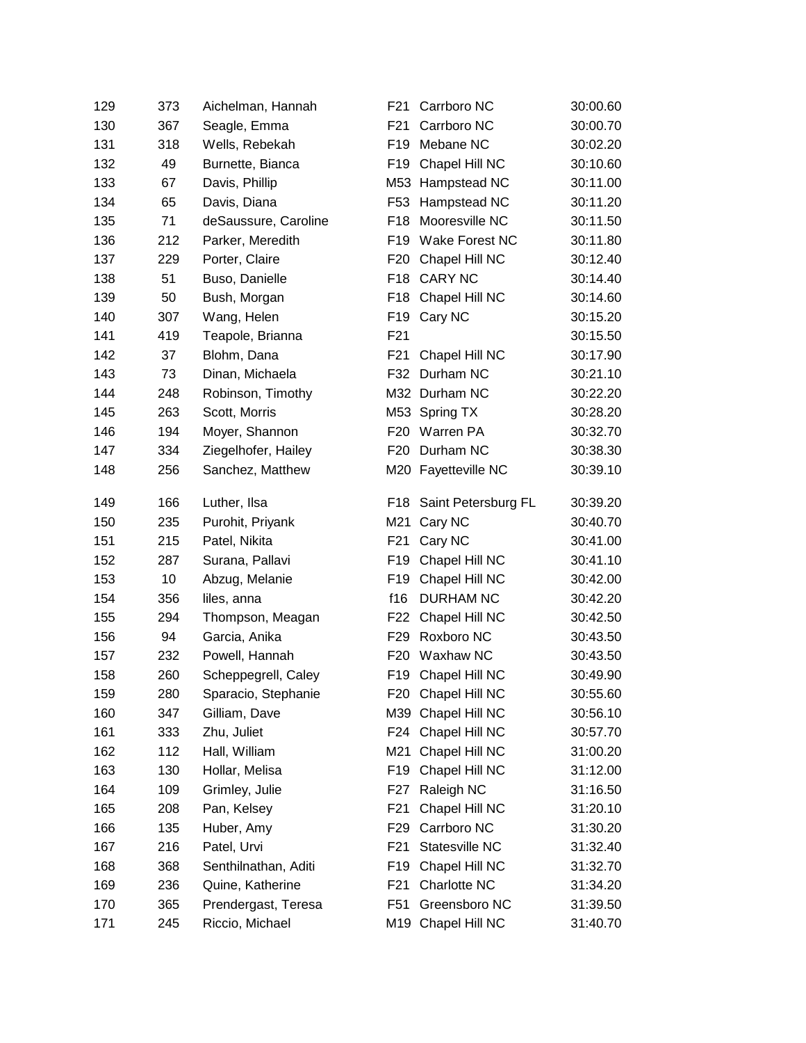| 129 | 373 | Aichelman, Hannah    | F21              | Carrboro NC           | 30:00.60 |
|-----|-----|----------------------|------------------|-----------------------|----------|
| 130 | 367 | Seagle, Emma         | F21              | Carrboro NC           | 30:00.70 |
| 131 | 318 | Wells, Rebekah       | F <sub>19</sub>  | Mebane NC             | 30:02.20 |
| 132 | 49  | Burnette, Bianca     | F <sub>19</sub>  | Chapel Hill NC        | 30:10.60 |
| 133 | 67  | Davis, Phillip       |                  | M53 Hampstead NC      | 30:11.00 |
| 134 | 65  | Davis, Diana         | F <sub>53</sub>  | Hampstead NC          | 30:11.20 |
| 135 | 71  | deSaussure, Caroline | F <sub>18</sub>  | Mooresville NC        | 30:11.50 |
| 136 | 212 | Parker, Meredith     | F <sub>19</sub>  | <b>Wake Forest NC</b> | 30:11.80 |
| 137 | 229 | Porter, Claire       | F <sub>20</sub>  | Chapel Hill NC        | 30:12.40 |
| 138 | 51  | Buso, Danielle       | F18              | <b>CARY NC</b>        | 30:14.40 |
| 139 | 50  | Bush, Morgan         | F <sub>18</sub>  | Chapel Hill NC        | 30:14.60 |
| 140 | 307 | Wang, Helen          | F19              | Cary NC               | 30:15.20 |
| 141 | 419 | Teapole, Brianna     | F21              |                       | 30:15.50 |
| 142 | 37  | Blohm, Dana          | F <sub>21</sub>  | Chapel Hill NC        | 30:17.90 |
| 143 | 73  | Dinan, Michaela      |                  | F32 Durham NC         | 30:21.10 |
| 144 | 248 | Robinson, Timothy    |                  | M32 Durham NC         | 30:22.20 |
| 145 | 263 | Scott, Morris        |                  | M53 Spring TX         | 30:28.20 |
| 146 | 194 | Moyer, Shannon       | F <sub>20</sub>  | Warren PA             | 30:32.70 |
| 147 | 334 | Ziegelhofer, Hailey  | F <sub>20</sub>  | Durham NC             | 30:38.30 |
| 148 | 256 | Sanchez, Matthew     |                  | M20 Fayetteville NC   | 30:39.10 |
| 149 | 166 | Luther, Ilsa         | F18              | Saint Petersburg FL   | 30:39.20 |
| 150 | 235 | Purohit, Priyank     | M21              | Cary NC               | 30:40.70 |
| 151 | 215 | Patel, Nikita        | F <sub>21</sub>  | Cary NC               | 30:41.00 |
| 152 | 287 | Surana, Pallavi      | F <sub>19</sub>  | Chapel Hill NC        | 30:41.10 |
| 153 | 10  | Abzug, Melanie       | F <sub>19</sub>  | Chapel Hill NC        | 30:42.00 |
| 154 | 356 | liles, anna          | f16              | <b>DURHAM NC</b>      | 30:42.20 |
| 155 | 294 | Thompson, Meagan     | F22              | Chapel Hill NC        | 30:42.50 |
| 156 | 94  | Garcia, Anika        | F <sub>29</sub>  | Roxboro NC            | 30:43.50 |
| 157 | 232 | Powell, Hannah       | F <sub>20</sub>  | Waxhaw NC             | 30:43.50 |
| 158 | 260 | Scheppegrell, Caley  |                  | F19 Chapel Hill NC    | 30:49.90 |
| 159 | 280 | Sparacio, Stephanie  | F <sub>20</sub>  | Chapel Hill NC        | 30:55.60 |
| 160 | 347 | Gilliam, Dave        |                  | M39 Chapel Hill NC    | 30:56.10 |
| 161 | 333 | Zhu, Juliet          | F24              | Chapel Hill NC        | 30:57.70 |
| 162 | 112 | Hall, William        | M21              | Chapel Hill NC        | 31:00.20 |
| 163 | 130 | Hollar, Melisa       | F <sub>19</sub>  | Chapel Hill NC        | 31:12.00 |
| 164 | 109 | Grimley, Julie       | F <sub>27</sub>  | Raleigh NC            | 31:16.50 |
| 165 | 208 | Pan, Kelsey          | F <sub>2</sub> 1 | Chapel Hill NC        | 31:20.10 |
| 166 | 135 | Huber, Amy           | F <sub>29</sub>  | Carrboro NC           | 31:30.20 |
| 167 | 216 | Patel, Urvi          | F21              | Statesville NC        | 31:32.40 |
| 168 | 368 | Senthilnathan, Aditi | F <sub>19</sub>  | Chapel Hill NC        | 31:32.70 |
| 169 | 236 | Quine, Katherine     | F <sub>21</sub>  | Charlotte NC          | 31:34.20 |
| 170 | 365 | Prendergast, Teresa  | F51              | Greensboro NC         | 31:39.50 |
| 171 | 245 | Riccio, Michael      |                  | M19 Chapel Hill NC    | 31:40.70 |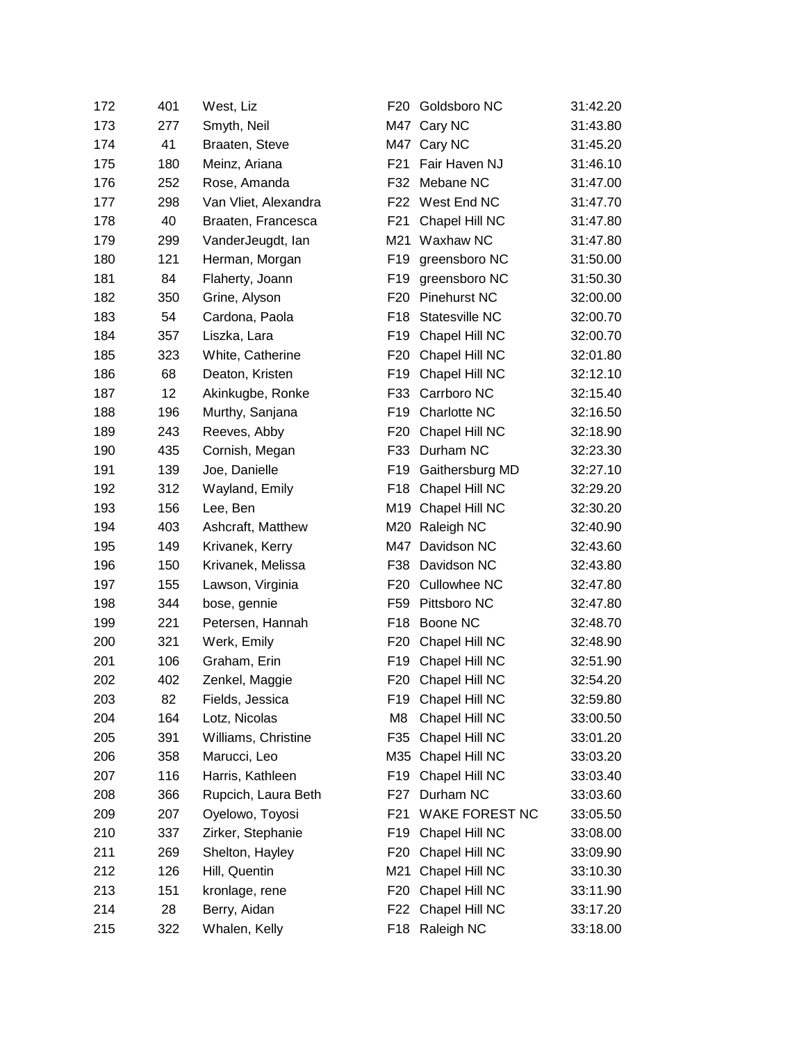| 172 | 401 | West, Liz            | F20             | Goldsboro NC        | 31:42.20 |
|-----|-----|----------------------|-----------------|---------------------|----------|
| 173 | 277 | Smyth, Neil          |                 | M47 Cary NC         | 31:43.80 |
| 174 | 41  | Braaten, Steve       |                 | M47 Cary NC         | 31:45.20 |
| 175 | 180 | Meinz, Ariana        | F <sub>21</sub> | Fair Haven NJ       | 31:46.10 |
| 176 | 252 | Rose, Amanda         | F32             | Mebane NC           | 31:47.00 |
| 177 | 298 | Van Vliet, Alexandra |                 | F22 West End NC     | 31:47.70 |
| 178 | 40  | Braaten, Francesca   | F21             | Chapel Hill NC      | 31:47.80 |
| 179 | 299 | VanderJeugdt, lan    | M21             | Waxhaw NC           | 31:47.80 |
| 180 | 121 | Herman, Morgan       | F <sub>19</sub> | greensboro NC       | 31:50.00 |
| 181 | 84  | Flaherty, Joann      | F19             | greensboro NC       | 31:50.30 |
| 182 | 350 | Grine, Alyson        | F <sub>20</sub> | <b>Pinehurst NC</b> | 32:00.00 |
| 183 | 54  | Cardona, Paola       | F18             | Statesville NC      | 32:00.70 |
| 184 | 357 | Liszka, Lara         | F <sub>19</sub> | Chapel Hill NC      | 32:00.70 |
| 185 | 323 | White, Catherine     | F <sub>20</sub> | Chapel Hill NC      | 32:01.80 |
| 186 | 68  | Deaton, Kristen      | F <sub>19</sub> | Chapel Hill NC      | 32:12.10 |
| 187 | 12  | Akinkugbe, Ronke     | F33             | Carrboro NC         | 32:15.40 |
| 188 | 196 | Murthy, Sanjana      | F19             | Charlotte NC        | 32:16.50 |
| 189 | 243 | Reeves, Abby         | F <sub>20</sub> | Chapel Hill NC      | 32:18.90 |
| 190 | 435 | Cornish, Megan       | F33             | Durham NC           | 32:23.30 |
| 191 | 139 | Joe, Danielle        | F <sub>19</sub> | Gaithersburg MD     | 32:27.10 |
| 192 | 312 | Wayland, Emily       | F18             | Chapel Hill NC      | 32:29.20 |
| 193 | 156 | Lee, Ben             |                 | M19 Chapel Hill NC  | 32:30.20 |
| 194 | 403 | Ashcraft, Matthew    |                 | M20 Raleigh NC      | 32:40.90 |
| 195 | 149 | Krivanek, Kerry      | M47             | Davidson NC         | 32:43.60 |
| 196 | 150 | Krivanek, Melissa    | F38             | Davidson NC         | 32:43.80 |
| 197 | 155 | Lawson, Virginia     | F <sub>20</sub> | <b>Cullowhee NC</b> | 32:47.80 |
| 198 | 344 | bose, gennie         | F59             | Pittsboro NC        | 32:47.80 |
| 199 | 221 | Petersen, Hannah     | F <sub>18</sub> | Boone NC            | 32:48.70 |
| 200 | 321 | Werk, Emily          | F <sub>20</sub> | Chapel Hill NC      | 32:48.90 |
| 201 | 106 | Graham, Erin         | F <sub>19</sub> | Chapel Hill NC      | 32:51.90 |
| 202 | 402 | Zenkel, Maggie       | F <sub>20</sub> | Chapel Hill NC      | 32:54.20 |
| 203 | 82  | Fields, Jessica      | F19             | Chapel Hill NC      | 32:59.80 |
| 204 | 164 | Lotz, Nicolas        | M <sub>8</sub>  | Chapel Hill NC      | 33:00.50 |
| 205 | 391 | Williams, Christine  | F35             | Chapel Hill NC      | 33:01.20 |
| 206 | 358 | Marucci, Leo         | M35             | Chapel Hill NC      | 33:03.20 |
| 207 | 116 | Harris, Kathleen     | F <sub>19</sub> | Chapel Hill NC      | 33:03.40 |
| 208 | 366 | Rupcich, Laura Beth  | F <sub>27</sub> | Durham NC           | 33:03.60 |
| 209 | 207 | Oyelowo, Toyosi      | F21             | WAKE FOREST NC      | 33:05.50 |
| 210 | 337 | Zirker, Stephanie    | F <sub>19</sub> | Chapel Hill NC      | 33:08.00 |
| 211 | 269 | Shelton, Hayley      | F <sub>20</sub> | Chapel Hill NC      | 33:09.90 |
| 212 | 126 | Hill, Quentin        | M21             | Chapel Hill NC      | 33:10.30 |
| 213 | 151 | kronlage, rene       | F <sub>20</sub> | Chapel Hill NC      | 33:11.90 |
| 214 | 28  | Berry, Aidan         | F22             | Chapel Hill NC      | 33:17.20 |
| 215 | 322 | Whalen, Kelly        | F18             | Raleigh NC          | 33:18.00 |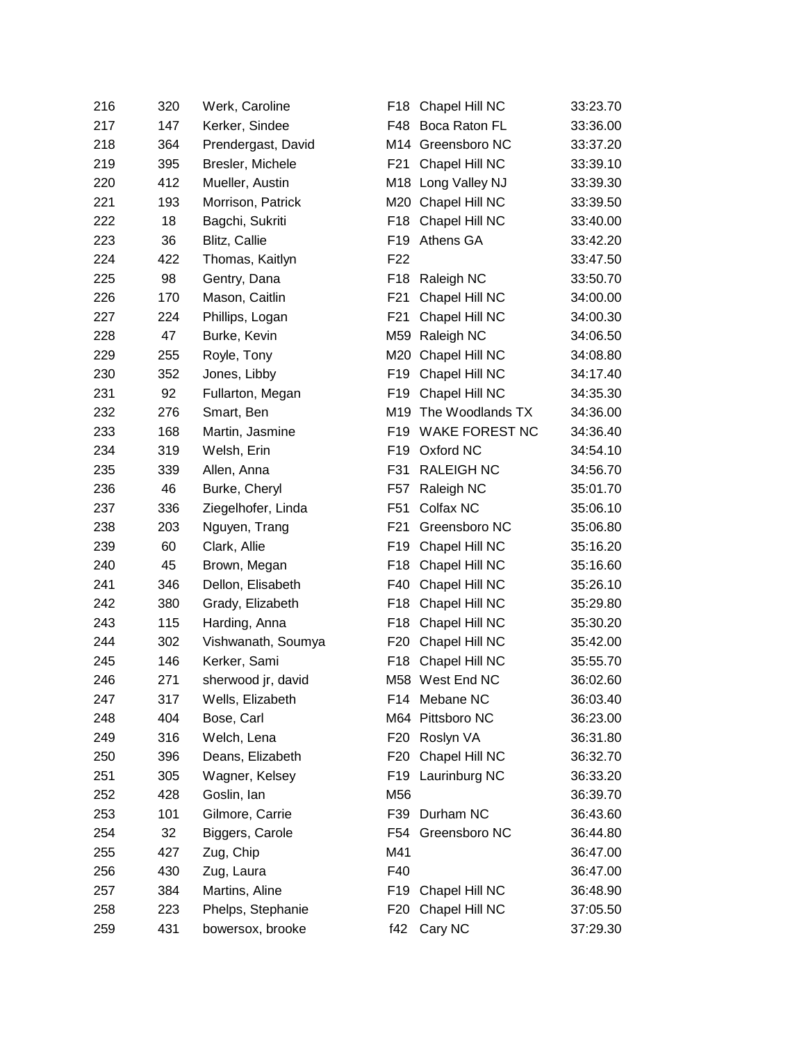| 216 | 320 | Werk, Caroline     | F18             | Chapel Hill NC        | 33:23.70 |
|-----|-----|--------------------|-----------------|-----------------------|----------|
| 217 | 147 | Kerker, Sindee     | F48             | Boca Raton FL         | 33:36.00 |
| 218 | 364 | Prendergast, David |                 | M14 Greensboro NC     | 33:37.20 |
| 219 | 395 | Bresler, Michele   | F21             | Chapel Hill NC        | 33:39.10 |
| 220 | 412 | Mueller, Austin    |                 | M18 Long Valley NJ    | 33:39.30 |
| 221 | 193 | Morrison, Patrick  |                 | M20 Chapel Hill NC    | 33:39.50 |
| 222 | 18  | Bagchi, Sukriti    |                 | F18 Chapel Hill NC    | 33:40.00 |
| 223 | 36  | Blitz, Callie      | F <sub>19</sub> | Athens GA             | 33:42.20 |
| 224 | 422 | Thomas, Kaitlyn    | F <sub>22</sub> |                       | 33:47.50 |
| 225 | 98  | Gentry, Dana       | F18             | Raleigh NC            | 33:50.70 |
| 226 | 170 | Mason, Caitlin     | F <sub>21</sub> | Chapel Hill NC        | 34:00.00 |
| 227 | 224 | Phillips, Logan    | F <sub>21</sub> | Chapel Hill NC        | 34:00.30 |
| 228 | 47  | Burke, Kevin       | M59             | Raleigh NC            | 34:06.50 |
| 229 | 255 | Royle, Tony        | M20             | Chapel Hill NC        | 34:08.80 |
| 230 | 352 | Jones, Libby       | F <sub>19</sub> | Chapel Hill NC        | 34:17.40 |
| 231 | 92  | Fullarton, Megan   | F <sub>19</sub> | Chapel Hill NC        | 34:35.30 |
| 232 | 276 | Smart, Ben         | M19             | The Woodlands TX      | 34:36.00 |
| 233 | 168 | Martin, Jasmine    | F19             | <b>WAKE FOREST NC</b> | 34:36.40 |
| 234 | 319 | Welsh, Erin        | F <sub>19</sub> | Oxford NC             | 34:54.10 |
| 235 | 339 | Allen, Anna        | F31             | <b>RALEIGH NC</b>     | 34:56.70 |
| 236 | 46  | Burke, Cheryl      | F57             | Raleigh NC            | 35:01.70 |
| 237 | 336 | Ziegelhofer, Linda | F51             | Colfax NC             | 35:06.10 |
| 238 | 203 | Nguyen, Trang      | F21             | Greensboro NC         | 35:06.80 |
| 239 | 60  | Clark, Allie       | F19             | Chapel Hill NC        | 35:16.20 |
| 240 | 45  | Brown, Megan       | F <sub>18</sub> | Chapel Hill NC        | 35:16.60 |
| 241 | 346 | Dellon, Elisabeth  | F40             | Chapel Hill NC        | 35:26.10 |
| 242 | 380 | Grady, Elizabeth   | F18             | Chapel Hill NC        | 35:29.80 |
| 243 | 115 | Harding, Anna      | F18             | Chapel Hill NC        | 35:30.20 |
| 244 | 302 | Vishwanath, Soumya | F20             | Chapel Hill NC        | 35:42.00 |
| 245 | 146 | Kerker, Sami       | F18             | Chapel Hill NC        | 35:55.70 |
| 246 | 271 | sherwood jr, david |                 | M58 West End NC       | 36:02.60 |
| 247 | 317 | Wells, Elizabeth   |                 | F14 Mebane NC         | 36:03.40 |
| 248 | 404 | Bose, Carl         |                 | M64 Pittsboro NC      | 36:23.00 |
| 249 | 316 | Welch, Lena        | F20             | Roslyn VA             | 36:31.80 |
| 250 | 396 | Deans, Elizabeth   | F20             | Chapel Hill NC        | 36:32.70 |
| 251 | 305 | Wagner, Kelsey     | F19             | Laurinburg NC         | 36:33.20 |
| 252 | 428 | Goslin, lan        | M56             |                       | 36:39.70 |
| 253 | 101 | Gilmore, Carrie    | F39             | Durham NC             | 36:43.60 |
| 254 | 32  | Biggers, Carole    | F54             | Greensboro NC         | 36:44.80 |
| 255 | 427 | Zug, Chip          | M41             |                       | 36:47.00 |
| 256 | 430 | Zug, Laura         | F40             |                       | 36:47.00 |
| 257 | 384 | Martins, Aline     | F <sub>19</sub> | Chapel Hill NC        | 36:48.90 |
| 258 | 223 | Phelps, Stephanie  | F <sub>20</sub> | Chapel Hill NC        | 37:05.50 |
| 259 | 431 | bowersox, brooke   | f42             | Cary NC               | 37:29.30 |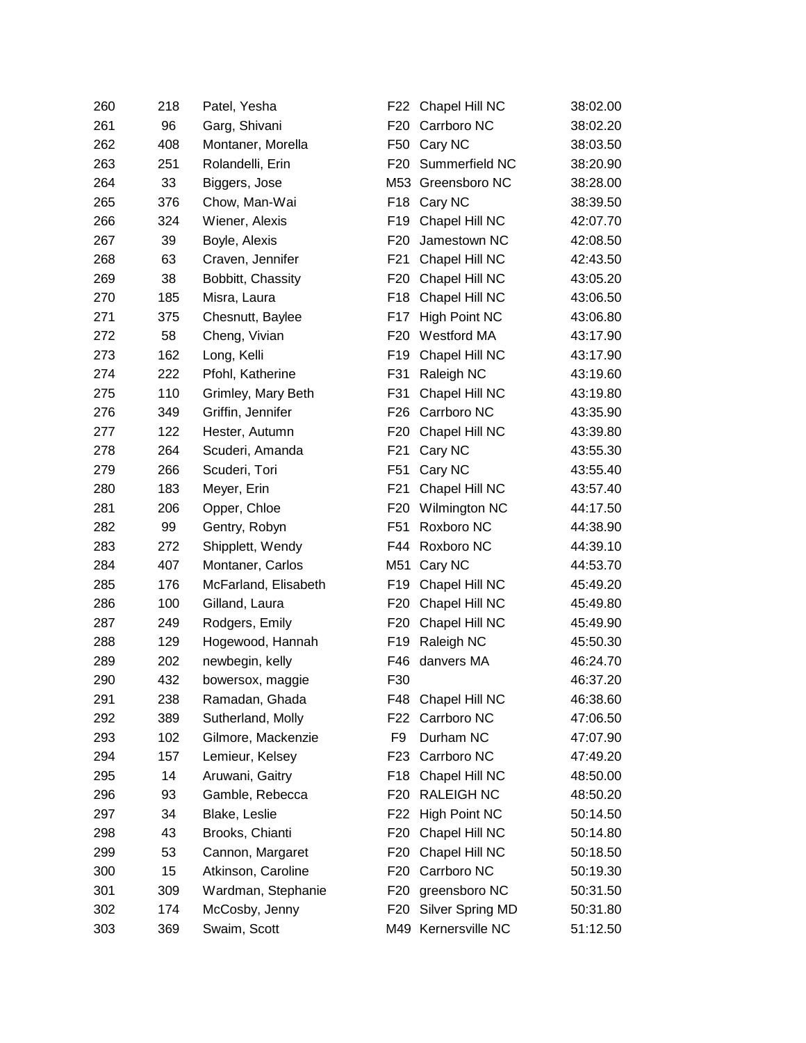| 260 | 218 | Patel, Yesha         | F22             | Chapel Hill NC      | 38:02.00 |
|-----|-----|----------------------|-----------------|---------------------|----------|
| 261 | 96  | Garg, Shivani        | F <sub>20</sub> | Carrboro NC         | 38:02.20 |
| 262 | 408 | Montaner, Morella    | F50             | Cary NC             | 38:03.50 |
| 263 | 251 | Rolandelli, Erin     | F <sub>20</sub> | Summerfield NC      | 38:20.90 |
| 264 | 33  | Biggers, Jose        |                 | M53 Greensboro NC   | 38:28.00 |
| 265 | 376 | Chow, Man-Wai        | F18             | Cary NC             | 38:39.50 |
| 266 | 324 | Wiener, Alexis       | F <sub>19</sub> | Chapel Hill NC      | 42:07.70 |
| 267 | 39  | Boyle, Alexis        | F <sub>20</sub> | Jamestown NC        | 42:08.50 |
| 268 | 63  | Craven, Jennifer     | F <sub>21</sub> | Chapel Hill NC      | 42:43.50 |
| 269 | 38  | Bobbitt, Chassity    | F <sub>20</sub> | Chapel Hill NC      | 43:05.20 |
| 270 | 185 | Misra, Laura         | F <sub>18</sub> | Chapel Hill NC      | 43:06.50 |
| 271 | 375 | Chesnutt, Baylee     | F17             | High Point NC       | 43:06.80 |
| 272 | 58  | Cheng, Vivian        | F <sub>20</sub> | Westford MA         | 43:17.90 |
| 273 | 162 | Long, Kelli          | F <sub>19</sub> | Chapel Hill NC      | 43:17.90 |
| 274 | 222 | Pfohl, Katherine     | F31             | Raleigh NC          | 43:19.60 |
| 275 | 110 | Grimley, Mary Beth   | F31             | Chapel Hill NC      | 43:19.80 |
| 276 | 349 | Griffin, Jennifer    | F26             | Carrboro NC         | 43:35.90 |
| 277 | 122 | Hester, Autumn       | F <sub>20</sub> | Chapel Hill NC      | 43:39.80 |
| 278 | 264 | Scuderi, Amanda      | F <sub>21</sub> | Cary NC             | 43:55.30 |
| 279 | 266 | Scuderi, Tori        | F <sub>51</sub> | Cary NC             | 43:55.40 |
| 280 | 183 | Meyer, Erin          | F <sub>21</sub> | Chapel Hill NC      | 43:57.40 |
| 281 | 206 | Opper, Chloe         | F <sub>20</sub> | Wilmington NC       | 44:17.50 |
| 282 | 99  | Gentry, Robyn        | F <sub>51</sub> | Roxboro NC          | 44:38.90 |
| 283 | 272 | Shipplett, Wendy     | F44             | Roxboro NC          | 44:39.10 |
| 284 | 407 | Montaner, Carlos     | M51             | Cary NC             | 44:53.70 |
| 285 | 176 | McFarland, Elisabeth | F <sub>19</sub> | Chapel Hill NC      | 45:49.20 |
| 286 | 100 | Gilland, Laura       | F20             | Chapel Hill NC      | 45:49.80 |
| 287 | 249 | Rodgers, Emily       | F <sub>20</sub> | Chapel Hill NC      | 45:49.90 |
| 288 | 129 | Hogewood, Hannah     | F <sub>19</sub> | Raleigh NC          | 45:50.30 |
| 289 | 202 | newbegin, kelly      | F46             | danvers MA          | 46:24.70 |
| 290 | 432 | bowersox, maggie     | F30             |                     | 46:37.20 |
| 291 | 238 | Ramadan, Ghada       | F48             | Chapel Hill NC      | 46:38.60 |
| 292 | 389 | Sutherland, Molly    | F22             | Carrboro NC         | 47:06.50 |
| 293 | 102 | Gilmore, Mackenzie   | F9              | Durham NC           | 47:07.90 |
| 294 | 157 | Lemieur, Kelsey      | F <sub>23</sub> | Carrboro NC         | 47:49.20 |
| 295 | 14  | Aruwani, Gaitry      | F18             | Chapel Hill NC      | 48:50.00 |
| 296 | 93  | Gamble, Rebecca      | F <sub>20</sub> | <b>RALEIGH NC</b>   | 48:50.20 |
| 297 | 34  | Blake, Leslie        | F <sub>22</sub> | High Point NC       | 50:14.50 |
| 298 | 43  | Brooks, Chianti      | F <sub>20</sub> | Chapel Hill NC      | 50:14.80 |
| 299 | 53  | Cannon, Margaret     | F <sub>20</sub> | Chapel Hill NC      | 50:18.50 |
| 300 | 15  | Atkinson, Caroline   | F <sub>20</sub> | Carrboro NC         | 50:19.30 |
| 301 | 309 | Wardman, Stephanie   | F <sub>20</sub> | greensboro NC       | 50:31.50 |
| 302 | 174 | McCosby, Jenny       | F <sub>20</sub> | Silver Spring MD    | 50:31.80 |
| 303 | 369 | Swaim, Scott         |                 | M49 Kernersville NC | 51:12.50 |